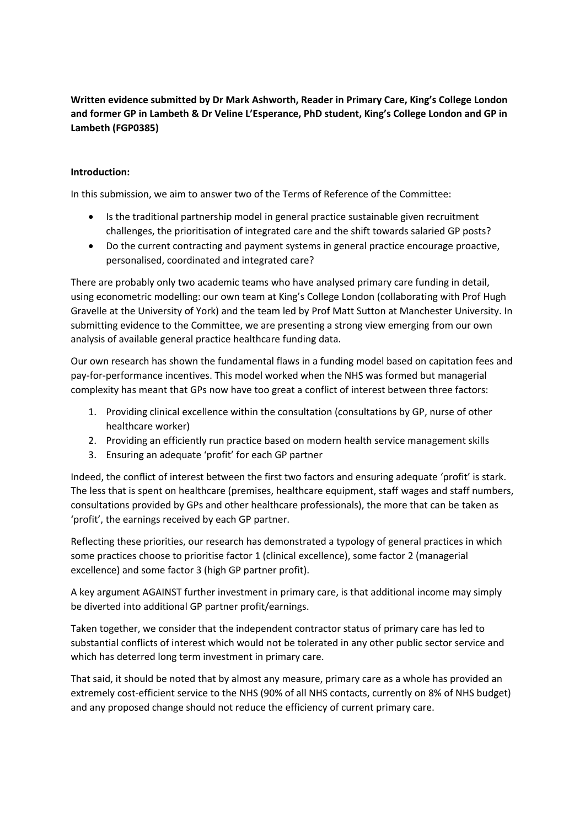**Written evidence submitted by Dr Mark Ashworth, Reader in Primary Care, King's College London and former GP in Lambeth & Dr Veline L'Esperance, PhD student, King's College London and GP in Lambeth (FGP0385)**

#### **Introduction:**

In this submission, we aim to answer two of the Terms of Reference of the Committee:

- Is the traditional partnership model in general practice sustainable given recruitment challenges, the prioritisation of integrated care and the shift towards salaried GP posts?
- Do the current contracting and payment systems in general practice encourage proactive, personalised, coordinated and integrated care?

There are probably only two academic teams who have analysed primary care funding in detail, using econometric modelling: our own team at King's College London (collaborating with Prof Hugh Gravelle at the University of York) and the team led by Prof Matt Sutton at Manchester University. In submitting evidence to the Committee, we are presenting a strong view emerging from our own analysis of available general practice healthcare funding data.

Our own research has shown the fundamental flaws in a funding model based on capitation fees and pay-for-performance incentives. This model worked when the NHS was formed but managerial complexity has meant that GPs now have too great a conflict of interest between three factors:

- 1. Providing clinical excellence within the consultation (consultations by GP, nurse of other healthcare worker)
- 2. Providing an efficiently run practice based on modern health service management skills
- 3. Ensuring an adequate 'profit' for each GP partner

Indeed, the conflict of interest between the first two factors and ensuring adequate 'profit' is stark. The less that is spent on healthcare (premises, healthcare equipment, staff wages and staff numbers, consultations provided by GPs and other healthcare professionals), the more that can be taken as 'profit', the earnings received by each GP partner.

Reflecting these priorities, our research has demonstrated a typology of general practices in which some practices choose to prioritise factor 1 (clinical excellence), some factor 2 (managerial excellence) and some factor 3 (high GP partner profit).

A key argument AGAINST further investment in primary care, is that additional income may simply be diverted into additional GP partner profit/earnings.

Taken together, we consider that the independent contractor status of primary care has led to substantial conflicts of interest which would not be tolerated in any other public sector service and which has deterred long term investment in primary care.

That said, it should be noted that by almost any measure, primary care as a whole has provided an extremely cost-efficient service to the NHS (90% of all NHS contacts, currently on 8% of NHS budget) and any proposed change should not reduce the efficiency of current primary care.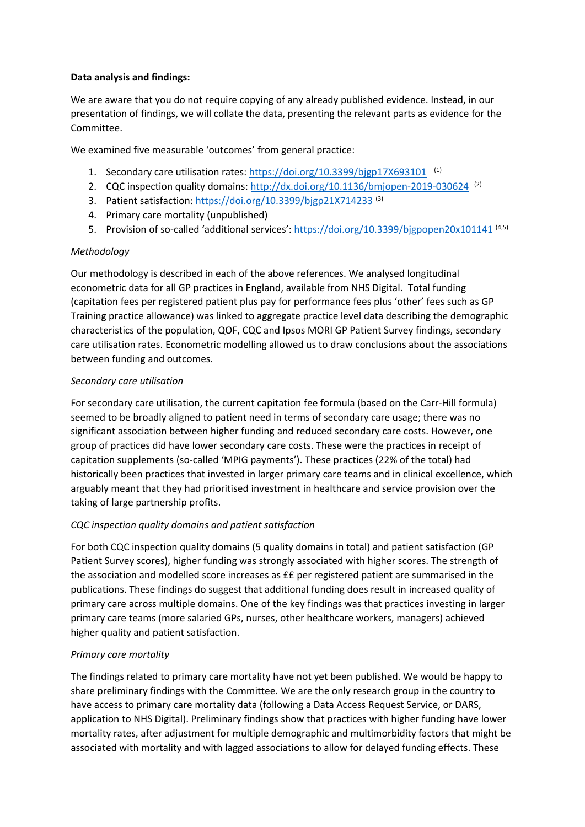#### **Data analysis and findings:**

We are aware that you do not require copying of any already published evidence. Instead, in our presentation of findings, we will collate the data, presenting the relevant parts as evidence for the Committee.

We examined five measurable 'outcomes' from general practice:

- 1. Secondary care utilisation rates: <https://doi.org/10.3399/bjgp17X693101><sup>(1)</sup>
- 2. CQC inspection quality domains: http://dx.doi.org/10.1136/bmjopen-2019-030624<sup>(2)</sup>
- 3. Patient satisfaction: <https://doi.org/10.3399/bjgp21X714233> (3)
- 4. Primary care mortality (unpublished)
- 5. Provision of so-called 'additional services': <https://doi.org/10.3399/bjgpopen20x101141> (4,5)

# *Methodology*

Our methodology is described in each of the above references. We analysed longitudinal econometric data for all GP practices in England, available from NHS Digital. Total funding (capitation fees per registered patient plus pay for performance fees plus 'other' fees such as GP Training practice allowance) was linked to aggregate practice level data describing the demographic characteristics of the population, QOF, CQC and Ipsos MORI GP Patient Survey findings, secondary care utilisation rates. Econometric modelling allowed us to draw conclusions about the associations between funding and outcomes.

# *Secondary care utilisation*

For secondary care utilisation, the current capitation fee formula (based on the Carr-Hill formula) seemed to be broadly aligned to patient need in terms of secondary care usage; there was no significant association between higher funding and reduced secondary care costs. However, one group of practices did have lower secondary care costs. These were the practices in receipt of capitation supplements (so-called 'MPIG payments'). These practices (22% of the total) had historically been practices that invested in larger primary care teams and in clinical excellence, which arguably meant that they had prioritised investment in healthcare and service provision over the taking of large partnership profits.

# *CQC inspection quality domains and patient satisfaction*

For both CQC inspection quality domains (5 quality domains in total) and patient satisfaction (GP Patient Survey scores), higher funding was strongly associated with higher scores. The strength of the association and modelled score increases as ££ per registered patient are summarised in the publications. These findings do suggest that additional funding does result in increased quality of primary care across multiple domains. One of the key findings was that practices investing in larger primary care teams (more salaried GPs, nurses, other healthcare workers, managers) achieved higher quality and patient satisfaction.

# *Primary care mortality*

The findings related to primary care mortality have not yet been published. We would be happy to share preliminary findings with the Committee. We are the only research group in the country to have access to primary care mortality data (following a Data Access Request Service, or DARS, application to NHS Digital). Preliminary findings show that practices with higher funding have lower mortality rates, after adjustment for multiple demographic and multimorbidity factors that might be associated with mortality and with lagged associations to allow for delayed funding effects. These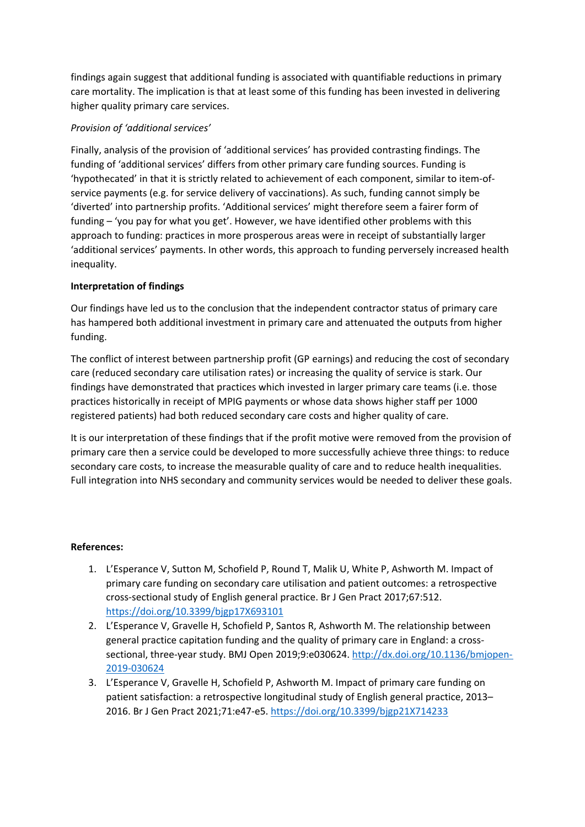findings again suggest that additional funding is associated with quantifiable reductions in primary care mortality. The implication is that at least some of this funding has been invested in delivering higher quality primary care services.

### *Provision of 'additional services'*

Finally, analysis of the provision of 'additional services' has provided contrasting findings. The funding of 'additional services' differs from other primary care funding sources. Funding is 'hypothecated' in that it is strictly related to achievement of each component, similar to item-ofservice payments (e.g. for service delivery of vaccinations). As such, funding cannot simply be 'diverted' into partnership profits. 'Additional services' might therefore seem a fairer form of funding – 'you pay for what you get'. However, we have identified other problems with this approach to funding: practices in more prosperous areas were in receipt of substantially larger 'additional services' payments. In other words, this approach to funding perversely increased health inequality.

#### **Interpretation of findings**

Our findings have led us to the conclusion that the independent contractor status of primary care has hampered both additional investment in primary care and attenuated the outputs from higher funding.

The conflict of interest between partnership profit (GP earnings) and reducing the cost of secondary care (reduced secondary care utilisation rates) or increasing the quality of service is stark. Our findings have demonstrated that practices which invested in larger primary care teams (i.e. those practices historically in receipt of MPIG payments or whose data shows higher staff per 1000 registered patients) had both reduced secondary care costs and higher quality of care.

It is our interpretation of these findings that if the profit motive were removed from the provision of primary care then a service could be developed to more successfully achieve three things: to reduce secondary care costs, to increase the measurable quality of care and to reduce health inequalities. Full integration into NHS secondary and community services would be needed to deliver these goals.

#### **References:**

- 1. L'Esperance V, Sutton M, Schofield P, Round T, Malik U, White P, Ashworth M. Impact of primary care funding on secondary care utilisation and patient outcomes: a retrospective cross-sectional study of English general practice. Br J Gen Pract 2017;67:512. <https://doi.org/10.3399/bjgp17X693101>
- 2. L'Esperance V, Gravelle H, Schofield P, Santos R, Ashworth M. The relationship between general practice capitation funding and the quality of primary care in England: a crosssectional, three-year study. BMJ Open 2019;9:e030624. [http://dx.doi.org/10.1136/bmjopen-](http://dx.doi.org/10.1136/bmjopen-2019-030624)[2019-030624](http://dx.doi.org/10.1136/bmjopen-2019-030624)
- 3. L'Esperance V, Gravelle H, Schofield P, Ashworth M. Impact of primary care funding on patient satisfaction: a retrospective longitudinal study of English general practice, 2013– 2016. Br J Gen Pract 2021;71:e47-e5. <https://doi.org/10.3399/bjgp21X714233>